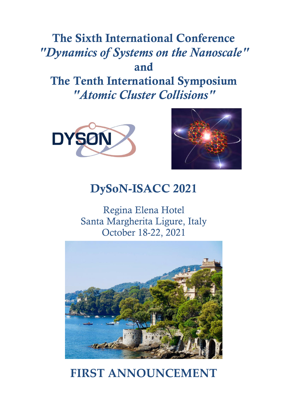# **The Sixth International Conference** *"Dynamics of Systems on the Nanoscale"* **and The Tenth International Symposium**  *"Atomic Cluster Collisions"*





## **DySoN-ISACC 2021**

Regina Elena Hotel Santa Margherita Ligure, Italy October 18-22, 2021



# **FIRST ANNOUNCEMENT**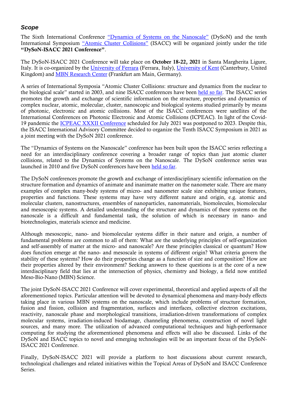### *Scope*

The Sixth International Conference "[Dynamics of Systems on the Nan](https://dyson-conference.org/)oscale" (DySoN) and the tenth International Symposium ["Atomic Cluster Collisions"](http://www.isacc-portal.org/) (ISACC) will be organized jointly under the title **"DySoN-ISACC 2021 Conference"**.

The DySoN-ISACC 2021 Conference will take place on **October 18-22, 2021** in Santa Margherita Ligure, Italy. It is co-organized by the [University of Ferrara](http://www.unife.it/international) (Ferrara, Italy), [University of Kent](https://www.kent.ac.uk/) (Canterbury, United Kingdom) and [MBN Research Center](http://mbnresearch.com/) (Frankfurt am Main, Germany).

A series of International Symposia "Atomic Cluster Collisions: structure and dynamics from the nuclear to the biological scale" started in 2003, and nine ISACC conferences have been [held so far.](http://www.isacc-portal.org/node/1) The ISACC series promotes the growth and exchange of scientific information on the structure, properties and dynamics of complex nuclear, atomic, molecular, cluster, nanoscopic and biological systems studied primarily by means of photonic, electronic and atomic collisions. Most of the ISACC conferences were satellites of the International Conferences on Photonic Electronic and Atomic Collisions (ICPEAC). In light of the Covid-19 pandemic the [ICPEAC XXXII Conference](https://www.icpeac2021.ca/) scheduled for July 2021 was postponed to 2023. Despite this, the ISACC International Advisory Committee decided to organize the Tenth ISACC Symposium in 2021 as a joint meeting with the DySoN 2021 conference.

The "Dynamics of Systems on the Nanoscale" conference has been built upon the ISACC series reflecting a need for an interdisciplinary conference covering a broader range of topics than just atomic cluster collisions, related to the Dynamics of Systems on the Nanoscale. The DySoN conference series was launched in 2010 and five DySoN conferences have been [held so far.](https://dyson-conference.org/node/16)

The DySoN conferences promote the growth and exchange of interdisciplinary scientific information on the structure formation and dynamics of animate and inanimate matter on the nanometer scale. There are many examples of complex many-body systems of micro- and nanometer scale size exhibiting unique features, properties and functions. These systems may have very different nature and origin, e.g. atomic and molecular clusters, nanostructures, ensembles of nanoparticles, nanomaterials, biomolecules, biomolecular and mesoscopic systems. A detailed understanding of the structure and dynamics of these systems on the nanoscale is a difficult and fundamental task, the solution of which is necessary in nano- and biotechnologies, materials science and medicine.

Although mesoscopic, nano- and biomolecular systems differ in their nature and origin, a number of fundamental problems are common to all of them: What are the underlying principles of self-organization and self-assembly of matter at the micro- and nanoscale? Are these principles classical or quantum? How does function emerge at the nano- and mesoscale in systems of different origin? What criteria govern the stability of these systems? How do their properties change as a function of size and composition? How are their properties altered by their environment? Seeking answers to these questions is at the core of a new interdisciplinary field that lies at the intersection of physics, chemistry and biology, a field now entitled Meso-Bio-Nano (MBN) Science.

The joint DySoN-ISACC 2021 Conference will cover experimental, theoretical and applied aspects of all the aforementioned topics. Particular attention will be devoted to dynamical phenomena and many-body effects taking place in various MBN systems on the nanoscale, which include problems of structure formation, fusion and fission, collision and fragmentation, surfaces and interfaces, collective electron excitations, reactivity, nanoscale phase and morphological transitions, irradiation-driven transformations of complex molecular systems, irradiation-induced biodamage, channeling phenomena, construction of novel light sources, and many more. The utilization of advanced computational techniques and high-performance computing for studying the aforementioned phenomena and effects will also be discussed. Links of the DySoN and ISACC topics to novel and emerging technologies will be an important focus of the DySoN-ISACC 2021 Conference.

Finally, DySoN-ISACC 2021 will provide a platform to host discussions about current research, technological challenges and related initiatives within the Topical Areas of DySoN and ISACC Conference Series.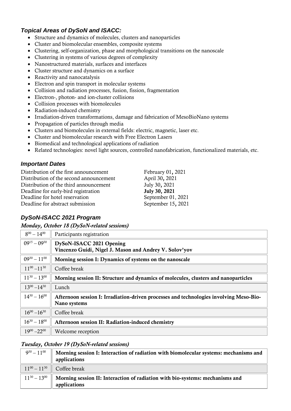## *Topical Areas of DySoN and ISACC:*

- Structure and dynamics of molecules, clusters and nanoparticles
- Cluster and biomolecular ensembles, composite systems
- Clustering, self-organization, phase and morphological transitions on the nanoscale
- Clustering in systems of various degrees of complexity
- Nanostructured materials, surfaces and interfaces
- Cluster structure and dynamics on a surface
- Reactivity and nanocatalysis
- Electron and spin transport in molecular systems
- Collision and radiation processes, fusion, fission, fragmentation
- Electron-, photon- and ion-cluster collisions
- Collision processes with biomolecules
- Radiation-induced chemistry
- Irradiation-driven transformations, damage and fabrication of MesoBioNano systems
- Propagation of particles through media
- Clusters and biomolecules in external fields: electric, magnetic, laser etc.
- Cluster and biomolecular research with Free Electron Lasers
- Biomedical and technological applications of radiation
- Related technologies: novel light sources, controlled nanofabrication, functionalized materials, etc.

#### *Important Dates*

| Distribution of the first announcement  | February 01, 2021  |
|-----------------------------------------|--------------------|
| Distribution of the second announcement | April 30, 2021     |
| Distribution of the third announcement  | July 30, 2021      |
| Deadline for early-bird registration    | July 30, 2021      |
| Deadline for hotel reservation          | September 01, 2021 |
| Deadline for abstract submission        | September 15, 2021 |
|                                         |                    |

## *DySoN-ISACC 2021 Program*

*Monday, October 18 (DySoN-related sessions)*

| $8^{00} - 14^{00}$  | Participants registration                                                                              |
|---------------------|--------------------------------------------------------------------------------------------------------|
| $09^{15} - 09^{30}$ | DySoN-ISACC 2021 Opening<br>Vincenzo Guidi, Nigel J. Mason and Andrey V. Solov'yov                     |
| $09^{30} - 11^{00}$ | Morning session I: Dynamics of systems on the nanoscale                                                |
| $11^{00} - 11^{30}$ | Coffee break                                                                                           |
| $11^{30} - 13^{00}$ | Morning session II: Structure and dynamics of molecules, clusters and nanoparticles                    |
| $13^{00} - 14^{30}$ | Lunch                                                                                                  |
| $14^{30} - 16^{00}$ | Afternoon session I: Irradiation-driven processes and technologies involving Meso-Bio-<br>Nano systems |
| $16^{00} - 16^{30}$ | Coffee break                                                                                           |
| $16^{30} - 18^{00}$ | Afternoon session II: Radiation-induced chemistry                                                      |
| $19^{00} - 22^{00}$ | Welcome reception                                                                                      |

#### *Tuesday, October 19 (DySoN-related sessions)*

| $9^{30} - 11^{00}$ | Morning session I: Interaction of radiation with biomolecular systems: mechanisms and<br>applications                |
|--------------------|----------------------------------------------------------------------------------------------------------------------|
|                    | $11^{00} - 11^{30}$ Coffee break                                                                                     |
|                    | $11^{30} - 13^{00}$    Morning session II: Interaction of radiation with bio-systems: mechanisms and<br>applications |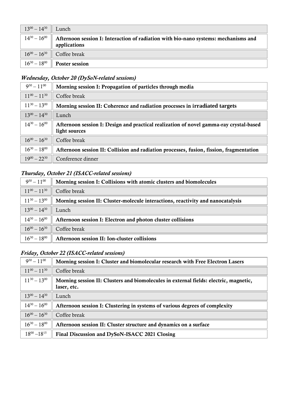| $13^{00} - 14^{30}$ Lunch |                                                                                                                            |
|---------------------------|----------------------------------------------------------------------------------------------------------------------------|
|                           | $14^{30} - 16^{00}$    Afternoon session I: Interaction of radiation with bio-nano systems: mechanisms and<br>applications |
|                           | $16^{00} - 16^{30}$ Coffee break                                                                                           |
|                           | $16^{30} - 18^{00}$   Poster session                                                                                       |

## *Wednesday, October 20 (DySoN-related sessions)*

| $9^{30} - 11^{00}$  | Morning session I: Propagation of particles through media                               |
|---------------------|-----------------------------------------------------------------------------------------|
| $11^{00} - 11^{30}$ | Coffee break                                                                            |
| $11^{30} - 13^{00}$ | Morning session II: Coherence and radiation processes in irradiated targets             |
| $13^{00} - 14^{30}$ | Lunch                                                                                   |
| $14^{30} - 16^{00}$ | Afternoon session I: Design and practical realization of novel gamma-ray crystal-based  |
|                     | light sources                                                                           |
| $16^{00} - 16^{30}$ | Coffee break                                                                            |
| $16^{30} - 18^{00}$ | Afternoon session II: Collision and radiation processes, fusion, fission, fragmentation |
| $19^{00} - 22^{30}$ | Conference dinner                                                                       |

## *Thursday, October 21 (ISACC-related sessions)*

| $9^{30} - 11^{00}$  | Morning session I: Collisions with atomic clusters and biomolecules             |
|---------------------|---------------------------------------------------------------------------------|
| $11^{00} - 11^{30}$ | Coffee break                                                                    |
| $11^{30} - 13^{00}$ | Morning session II: Cluster-molecule interactions, reactivity and nanocatalysis |
| $13^{00} - 14^{30}$ | Lunch                                                                           |
| $14^{30} - 16^{00}$ | Afternoon session I: Electron and photon cluster collisions                     |
| $16^{00} - 16^{30}$ | Coffee break                                                                    |
| $16^{30} - 18^{00}$ | Afternoon session II: Ion-cluster collisions                                    |

## *Friday, October 22 (ISACC-related sessions)*

| $9^{30} - 11^{00}$  | Morning session I: Cluster and biomolecular research with Free Electron Lasers        |
|---------------------|---------------------------------------------------------------------------------------|
| $11^{00} - 11^{30}$ | Coffee break                                                                          |
|                     |                                                                                       |
| $11^{30} - 13^{00}$ | Morning session II: Clusters and biomolecules in external fields: electric, magnetic, |
|                     | laser, etc.                                                                           |
| $13^{00} - 14^{30}$ | Lunch                                                                                 |
| $14^{30} - 16^{00}$ | Afternoon session I: Clustering in systems of various degrees of complexity           |
| $16^{00} - 16^{30}$ | Coffee break                                                                          |
| $16^{30} - 18^{00}$ | Afternoon session II: Cluster structure and dynamics on a surface                     |
| $18^{00} - 18^{15}$ | Final Discussion and DySoN-ISACC 2021 Closing                                         |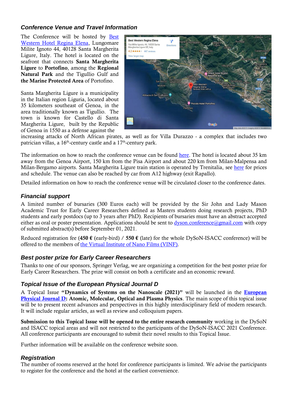## *Conference Venue and Travel Information*

The Conference will be hosted by [Best](https://www.reginaelena.it/en/home-page.aspx)  [Western Hotel Regina Elena,](https://www.reginaelena.it/en/home-page.aspx) Lungomare Milite Ignoto 44, 40128 Santa Margherita Ligure, Italy. The hotel is located on the seafront that connects **Santa Margherita Ligure** to **Portofino**, among the **Regional Natural Park** and the Tigullio Gulf and **the Marine Protected Area** of Portofino.

Santa Margherita Ligure is a municipality in the Italian region Liguria, located about 35 kilometers southeast of Genoa, in the area traditionally known as Tigullio. The town is known for Castello di Santa Margherita Ligure, built by the Republic of Genoa in 1550 as a defense against the



increasing attacks of North African pirates, as well as for Villa Durazzo - a complex that includes two patrician villas, a  $16^{\text{th}}$ -century castle and a  $17^{\text{th}}$ -century park.

The information on how to reach the conference venue can be found [here.](https://www.reginaelena.it/en/map-directions.aspx) The hotel is located about 35 km away from the Genoa Airport, 150 km from the Pisa Airport and about 220 km from Milan-Malpensa and Milan-Bergamo airports. Santa Margherita Ligure train station is operated by Trenitalia, see [here](https://www.trenitalia.com/en.html) for prices and schedule. The venue can also be reached by car from A12 highway (exit Rapallo).

Detailed information on how to reach the conference venue will be circulated closer to the conference dates.

## *Financial support*

A limited number of bursaries (300 Euros each) will be provided by the Sir John and Lady Mason Academic Trust for Early Career Researchers defined as Masters students doing research projects, PhD students and early postdocs (up to 3 years after PhD). Recipients of bursaries must have an abstract accepted either as oral or poster presentation. Applications should be sent to  $\frac{dy}{\text{son}}$ .conference@gmail.com with copy of submitted abstract(s) before September 01, 2021.

Reduced registration fee (**450 €** (early-bird) / **550 €** (late) for the whole DySoN-ISACC conference) will be offered to the members of [the Virtual Institute of Nano Films \(VINF\).](http://www.vinf.eu/)

#### *Best poster prize for Early Career Researchers*

Thanks to one of our sponsors, Springer Verlag, we are organizing a competition for the best poster prize for Early Career Researchers. The prize will consist on both a certificate and an economic reward.

#### *Topical Issue of the European Physical Journal D*

A Topical Issue **"Dynamics of Systems on the Nanoscale (2021)"** will be launched in the **[European](https://epjd.epj.org/)  [Physical Journal D:](https://epjd.epj.org/) Atomic, Molecular, Optical and Plasma Physics**. The main scope of this topical issue will be to present recent advances and perspectives in this highly interdisciplinary field of modern research. It will include regular articles, as well as review and colloquium papers.

**Submission to this Topical Issue will be opened to the entire research community** working in the DySoN and ISACC topical areas and will not restricted to the participants of the DySoN-ISACC 2021 Conference. All conference participants are encouraged to submit their novel results to this Topical Issue.

Further information will be available on the conference website soon.

#### *Registration*

The number of rooms reserved at the hotel for conference participants is limited. We advise the participants to register for the conference and the hotel at the earliest convenience.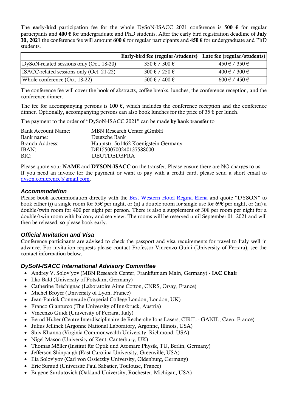The **early-bird** participation fee for the whole DySoN-ISACC 2021 conference is **500 €** for regular participants and **400 €** for undergraduate and PhD students. After the early bird registration deadline of **July 30, 2021** the conference fee will amount **600 €** for regular participants and **450 €** for undergraduate and PhD students.

|                                            | Early-bird fee (regular/students)   Late fee (regular/students) |                        |
|--------------------------------------------|-----------------------------------------------------------------|------------------------|
| DySoN-related sessions only (Oct. 18-20)   | $350 \in 7300 \in$                                              | $450 \notin / 350 \in$ |
| [ISACC-related sessions only (Oct. 21-22)] | $300 \notin 7250 \in$                                           | $400 \notin / 300 \in$ |
| Whole conference (Oct. 18-22)              | $500 \text{ } \in 7400 \text{ } \in$                            | $600 \in 7450 \in$     |

The conference fee will cover the book of abstracts, coffee breaks, lunches, the conference reception, and the conference dinner.

The fee for accompanying persons is **100**  $\epsilon$ , which includes the conference reception and the conference dinner. Optionally, accompanying persons can also book lunches for the price of 35  $\epsilon$  per lunch.

The payment to the order of "DySoN-ISACC 2021" can be made **by bank transfer** to

| Bank Account Name: | MBN Research Center gGmbH            |
|--------------------|--------------------------------------|
| Bank name:         | Deutsche Bank                        |
| Branch Address:    | Hauptstr. 561462 Koenigstein Germany |
| IBAN:              | DE15500700240137588000               |
| BIC:               | <b>DEUTDEDBFRA</b>                   |

Please quote your **NAME** and **DYSON-ISACC** on the transfer. Please ensure there are NO charges to us. If you need an invoice for the payment or want to pay with a credit card, please send a short email to [dyson.conference@gmail.com.](mailto:dyson.conference@gmail.com)

#### *Accommodation*

Please book accommodation directly with the **[Best Western Hotel Regina Elena](https://www.reginaelena.it/en/home-page.aspx)** and quote "DYSON" to book either (i) a single room for 55€ per night, or (ii) a double room for single use for 69€ per night, or (iii) a double/twin room for 40€ per night per person. There is also a supplement of 30€ per room per night for a double/twin room with balcony and sea view. The rooms will be reserved until September 01, 2021 and will then be released, so please book early.

#### *Official Invitation and Visa*

Conference participants are advised to check the passport and visa requirements for travel to Italy well in advance. For invitation requests please contact Professor Vincenzo Guidi (University of Ferrara), see the contact information below.

#### *DySoN-ISACC International Advisory Committee*

- Andrey V. Solov'yov (MBN Research Center, Frankfurt am Main, Germany) **- IAC Chair**
- Ilko Bald (University of Potsdam, Germany)
- Catherine Bréchignac (Laboratoire Aime Cotton, CNRS, Orsay, France)
- Michel Broyer (University of Lyon, France)
- Jean-Patrick Connerade (Imperial College London, London, UK)
- Franco Gianturco (The University of Innsbruck, Austria)
- Vincenzo Guidi (University of Ferrara, Italy)
- Bernd Huber (Centre Interdisciplinaire de Recherche Ions Lasers, CIRIL GANIL, Caen, France)
- Julius Jellinek (Argonne National Laboratory, Argonne, Illinois, USA)
- Shiv Khanna (Virginia Commonwealth University, Richmond, USA)
- Nigel Mason (University of Kent, Canterbury, UK)
- Thomas Möller (Institut für Optik und Atomare Physik, TU, Berlin, Germany)
- Jefferson Shinpaugh (East Carolina University, Greenville, USA)
- Ilia Solov'yov (Carl von Ossietzky University, Oldenburg, Germany)
- Eric Suraud (Université Paul Sabatier, Toulouse, France)
- Eugene Surdutovich (Oakland University, Rochester, Michigan, USA)